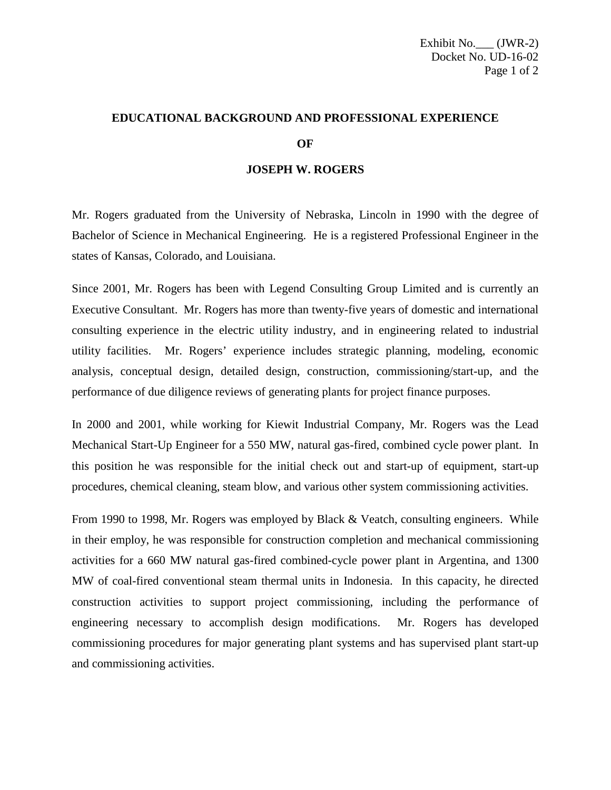## **EDUCATIONAL BACKGROUND AND PROFESSIONAL EXPERIENCE OF**

## **JOSEPH W. ROGERS**

Mr. Rogers graduated from the University of Nebraska, Lincoln in 1990 with the degree of Bachelor of Science in Mechanical Engineering. He is a registered Professional Engineer in the states of Kansas, Colorado, and Louisiana.

Since 2001, Mr. Rogers has been with Legend Consulting Group Limited and is currently an Executive Consultant. Mr. Rogers has more than twenty-five years of domestic and international consulting experience in the electric utility industry, and in engineering related to industrial utility facilities. Mr. Rogers' experience includes strategic planning, modeling, economic analysis, conceptual design, detailed design, construction, commissioning/start-up, and the performance of due diligence reviews of generating plants for project finance purposes.

In 2000 and 2001, while working for Kiewit Industrial Company, Mr. Rogers was the Lead Mechanical Start-Up Engineer for a 550 MW, natural gas-fired, combined cycle power plant. In this position he was responsible for the initial check out and start-up of equipment, start-up procedures, chemical cleaning, steam blow, and various other system commissioning activities.

From 1990 to 1998, Mr. Rogers was employed by Black & Veatch, consulting engineers. While in their employ, he was responsible for construction completion and mechanical commissioning activities for a 660 MW natural gas-fired combined-cycle power plant in Argentina, and 1300 MW of coal-fired conventional steam thermal units in Indonesia. In this capacity, he directed construction activities to support project commissioning, including the performance of engineering necessary to accomplish design modifications. Mr. Rogers has developed commissioning procedures for major generating plant systems and has supervised plant start-up and commissioning activities.